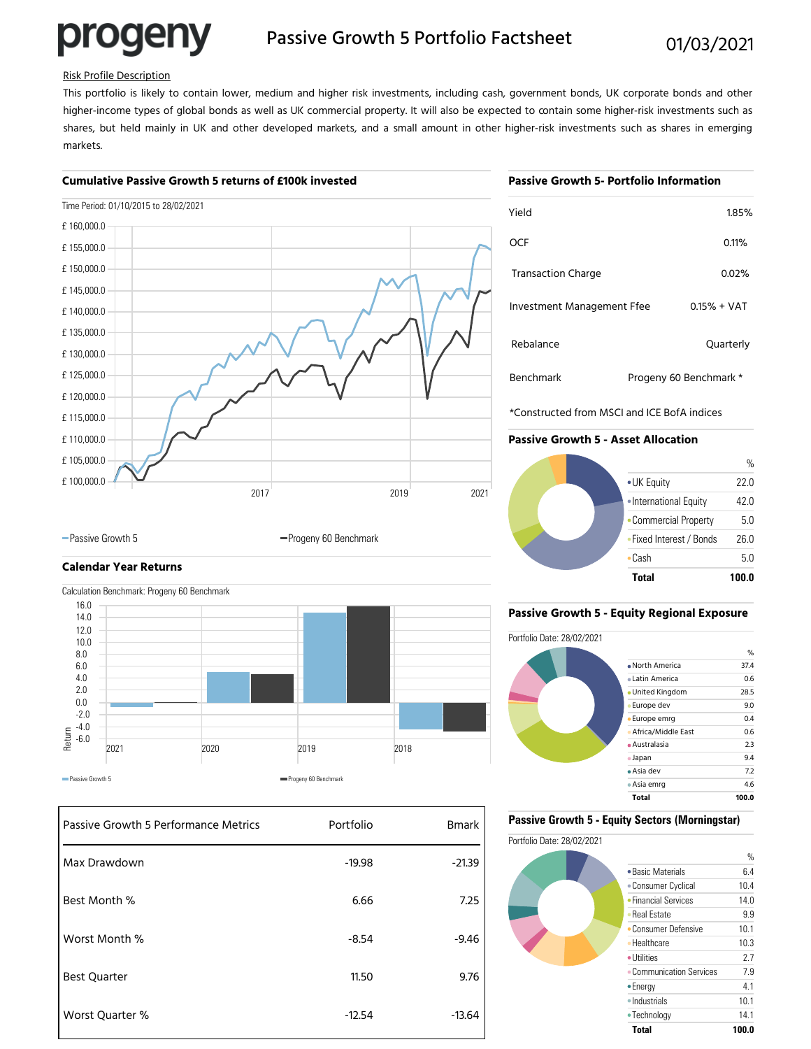# progeny

### Passive Growth 5 Portfolio Factsheet 01/03/2021

#### Risk Profile Description

This portfolio is likely to contain lower, medium and higher risk investments, including cash, government bonds, UK corporate bonds and other higher-income types of global bonds as well as UK commercial property. It will also be expected to contain some higher-risk investments such as shares, but held mainly in UK and other developed markets, and a small amount in other higher-risk investments such as shares in emerging markets.

#### **Cumulative Passive Growth 5 returns of £100k invested**

#### **Passive Growth 5- Portfolio Information**

| Time Period: 01/10/2015 to 28/02/2021 |      |      |      |
|---------------------------------------|------|------|------|
| £160,000.0                            |      |      |      |
| £155,000.0                            |      |      |      |
| £150,000.0                            |      |      |      |
| £145,000.0                            |      |      |      |
| £140,000.0                            |      |      |      |
| £135,000.0                            |      |      |      |
| £130,000.0                            |      |      |      |
| £125,000.0                            |      |      |      |
| £120,000.0                            |      |      |      |
| £115,000.0                            |      |      |      |
| £110,000.0                            |      |      |      |
| £105,000.0                            |      |      |      |
| £100,000.0                            |      |      |      |
|                                       | 2017 | 2019 | 2021 |

| Yield                      | 1.85%                  |
|----------------------------|------------------------|
| OCF                        | 0.11%                  |
| <b>Transaction Charge</b>  | 0.02%                  |
| Investment Management Ffee | $0.15% + VAT$          |
| Rebalance                  | Quarterly              |
| Benchmark                  | Progeny 60 Benchmark * |

\*Constructed from MSCI and ICE BofA indices

#### **Passive Growth 5 - Asset Allocation**



## **Calendar Year Returns**



-Passive Growth 5 Progeny 60 Benchmark

| Passive Growth 5 Performance Metrics | Portfolio | <b>Bmark</b> |
|--------------------------------------|-----------|--------------|
| Max Drawdown                         | $-19.98$  | $-21.39$     |
| Best Month %                         | 6.66      | 7.25         |
| Worst Month %                        | $-8.54$   | $-9.46$      |
| <b>Best Quarter</b>                  | 11.50     | 9.76         |
| Worst Quarter %                      | $-12.54$  | $-13.64$     |

#### **Passive Growth 5 - Equity Regional Exposure**



#### **Passive Growth 5 - Equity Sectors (Morningstar)**